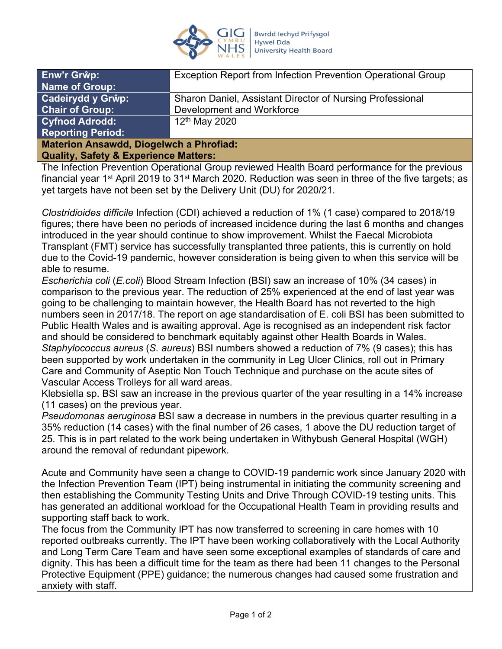

| Enw'r Grŵp:              | Exception Report from Infection Prevention Operational Group |
|--------------------------|--------------------------------------------------------------|
| <b>Name of Group:</b>    |                                                              |
| Cadeirydd y Grŵp:        | Sharon Daniel, Assistant Director of Nursing Professional    |
| <b>Chair of Group:</b>   | Development and Workforce                                    |
| <b>Cyfnod Adrodd:</b>    | $12th$ May 2020                                              |
| <b>Reporting Period:</b> |                                                              |
|                          |                                                              |

### **Materion Ansawdd, Diogelwch a Phrofiad: Quality, Safety & Experience Matters:**

The Infection Prevention Operational Group reviewed Health Board performance for the previous financial year 1<sup>st</sup> April 2019 to 31<sup>st</sup> March 2020. Reduction was seen in three of the five targets; as yet targets have not been set by the Delivery Unit (DU) for 2020/21.

*Clostridioides difficile* Infection (CDI) achieved a reduction of 1% (1 case) compared to 2018/19 figures; there have been no periods of increased incidence during the last 6 months and changes introduced in the year should continue to show improvement. Whilst the Faecal Microbiota Transplant (FMT) service has successfully transplanted three patients, this is currently on hold due to the Covid-19 pandemic, however consideration is being given to when this service will be able to resume.

*Escherichia coli* (*E.coli*) Blood Stream Infection (BSI) saw an increase of 10% (34 cases) in comparison to the previous year. The reduction of 25% experienced at the end of last year was going to be challenging to maintain however, the Health Board has not reverted to the high numbers seen in 2017/18. The report on age standardisation of E. coli BSI has been submitted to Public Health Wales and is awaiting approval. Age is recognised as an independent risk factor and should be considered to benchmark equitably against other Health Boards in Wales. *Staphylococcus aureus* (*S. aureus*) BSI numbers showed a reduction of 7% (9 cases); this has been supported by work undertaken in the community in Leg Ulcer Clinics, roll out in Primary Care and Community of Aseptic Non Touch Technique and purchase on the acute sites of Vascular Access Trolleys for all ward areas.

Klebsiella sp. BSI saw an increase in the previous quarter of the year resulting in a 14% increase (11 cases) on the previous year.

*Pseudomonas aeruginosa* BSI saw a decrease in numbers in the previous quarter resulting in a 35% reduction (14 cases) with the final number of 26 cases, 1 above the DU reduction target of 25. This is in part related to the work being undertaken in Withybush General Hospital (WGH) around the removal of redundant pipework.

Acute and Community have seen a change to COVID-19 pandemic work since January 2020 with the Infection Prevention Team (IPT) being instrumental in initiating the community screening and then establishing the Community Testing Units and Drive Through COVID-19 testing units. This has generated an additional workload for the Occupational Health Team in providing results and supporting staff back to work.

The focus from the Community IPT has now transferred to screening in care homes with 10 reported outbreaks currently. The IPT have been working collaboratively with the Local Authority and Long Term Care Team and have seen some exceptional examples of standards of care and dignity. This has been a difficult time for the team as there had been 11 changes to the Personal Protective Equipment (PPE) guidance; the numerous changes had caused some frustration and anxiety with staff.